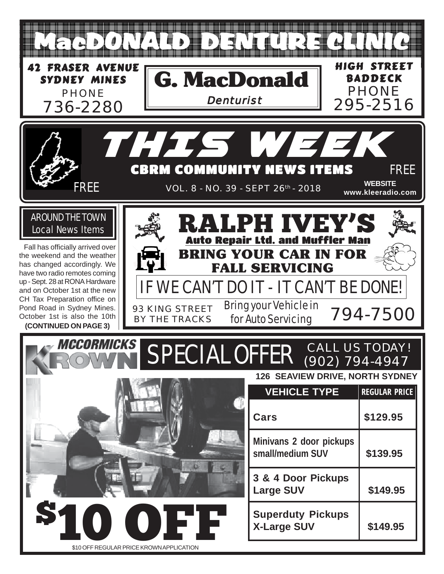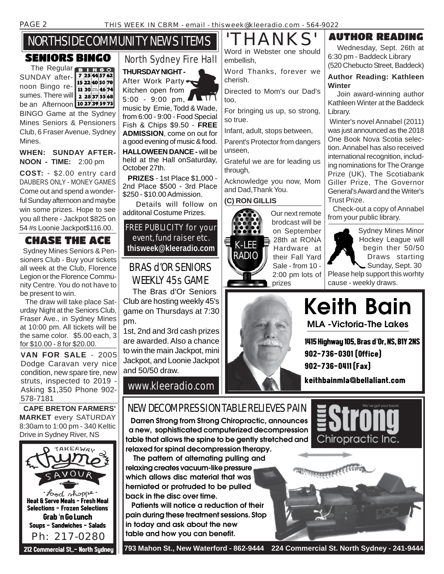# NORTHSIDE COMMUNITY NEWS ITEMS

#### SENIORS BINGO

The Regular **BINGO** SUNDAY after- 7 25 44 57 62 15 22 40 50 70 noon Bingo re-11 30 38 46 74 sumes. There will 2 28375568 be an Afternoon 1027395975 BINGO Game at the Sydney Mines Seniors & Pensioners Club, 6 Fraser Avenue, Sydney Mines.

#### **WHEN: SUNDAY AFTER-NOON - TIME:** 2:00 pm

**COST:** - \$2.00 entry card DAUBERS ONLY - MONEY GAMES Come out and spend a wonderful Sunday afternoon and maybe win some prizes. Hope to see you all there - Jackpot \$825 on 54 #s Loonie Jackpot\$116.00.

#### CHASE THE ACE

 Sydney Mines Seniors & Pensioners Club - Buy your tickets all week at the Club, Florence Legion or the Florence Community Centre. You do not have to be present to win.

 The draw will take place Saturday Night at the Seniors Club, Fraser Ave., in Sydney Mines at 10:00 pm. All tickets will be the same color. \$5.00 each, 3 for \$10.00 - 8 for \$20.00.

**VAN FOR SALE** - 2005 Dodge Caravan very nice condition, new spare tire, new struts, inspected to 2019 - Asking \$1,350 Phone 902- 578-7181

 **CAPE BRETON FARMERS' MARKET** every SATURDAY 8:30am to 1:00 pm - 340 Keltic Drive in Sydney River, NS



# North Sydney Fire Hall

**THURSDAY NIGHT -** After Work Party

Kitchen open from 5:00 - 9:00 pm, music by Ernie, Todd & Wade, from 6:00 - 9:00 - Food Special Fish & Chips \$9.50 - **FREE ADMISSION**, come on out for a good evening of music & food. **HALLOWEEN DANCE -** will be held at the Hall onSaturday, October 27th.

 **PRIZES** - 1st Place \$1,000 - 2nd Place \$500 - 3rd Place \$250 - \$10.00 Admission.

 Details will follow on additonal Costume Prizes.

#### FREE PUBLICITY for your event, fund raiser etc. **thisweek@kleeradio.com**

#### BRAS d'OR SENIORS WEEKLY 45s GAME

 The Bras d'Or Seniors Club are hosting weekly 45's game on Thursdays at 7:30 pm.

1st, 2nd and 3rd cash prizes are awarded. Also a chance to win the main Jackpot, mini Jackpot, and Loonie Jackpot and 50/50 draw.

www.kleeradio.com

Word in Webster one should embellish,

Word Thanks, forever we cherish.

Directed to Mom's our Dad's too,

For bringing us up, so strong, so true.

Infant, adult, stops between,

Parent's Protector from dangers unseen,

Grateful we are for leading us through,

Acknowledge you now, Mom and Dad,Thank You.

#### **(C) RON GILLIS**



Our next remote brodcast will be on September 28th at RONA Hardware at their Fall Yard Sale - from 10 - 2:00 pm lots of prizes

#### HANKS' AUTHOR READING

 Wednesday, Sept. 26th at 6:30 pm - Baddeck Library (520 Chebucto Street, Baddeck)

#### **Author Reading: Kathleen Winter**

 Join award-winning author Kathleen Winter at the Baddeck Library.

 Winter's novel Annabel (2011) was just announced as the 2018 One Book Nova Scotia selection. Annabel has also received international recognition, including nominations for The Orange Prize (UK), The Scotiabank Giller Prize, The Governor General's Award and the Writer's Trust Prize.

 Check-out a copy of Annabel from your public library.



Sydney Mines Minor Hockey League will begin ther 50/50 Draws starting Sunday, Sept. 30

Please help support this worhty cause - weekly draws.



**MLA -Victoria-The Lakes Keith Bain**

1415 Highway 105, Bras d'Or, NS, B1Y 2NS 902-736-0301 (Office) 902-736-0411 (Fax)

keithbainmla@bellaliant.com

Chiropractic Inc.

#### NEW DECOMPRESSION TABLE RELIEVES PAIN

 **Darren Strong from Strong Chiropractic, announces a new, sophisticated computerized decompression table that allows the spine to be gently stretched and relaxed for spinal decompression therapy.**

 **The pattern of alternating pulling and relaxing creates vacuum-like pressure which allows disc material that was herniated or protruded to be pulled back in the disc over time.**

 **Patients will notice a reduction of their pain during these treatment sessions. Stop in today and ask about the new table and how you can benefit.**

या स्तरसायस्<sup>20</sup>

 **793 Mahon St., New Waterford - 862-9444 224 Commercial St. North Sydney - 241-9444**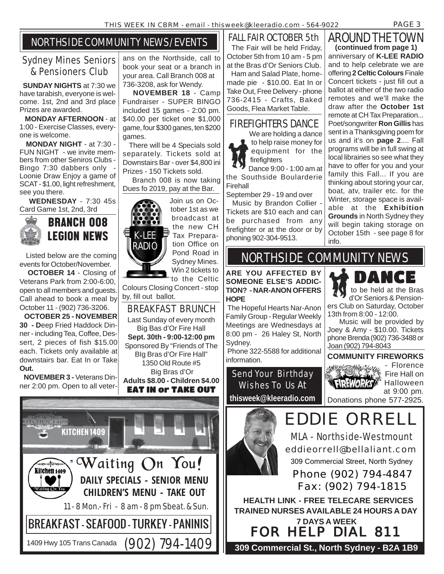#### NORTHSIDE COMMUNITY NEWS/EVENTS

#### Sydney Mines Seniors & Pensioners Club

 **SUNDAY NIGHTS** at 7:30 we have tarabish, everyone is welcome. 1st, 2nd and 3rd place Prizes are awarded.

 **MONDAY AFTERNOON** - at 1:00 - Exercise Classes, everyone is welcome.

 **MONDAY NIGHT** - at 7:30 - FUN NIGHT - we invite members from other Seniros Clubs - Bingo 7:30 dabbers only - Loonie Draw Enjoy a game of SCAT - \$1.00, light refreshment, see you there.

 **WEDNESDAY** - 7:30 45s Card Game 1st, 2nd, 3rd



 Listed below are the coming events for October/November.

 **OCTOBER 14** - Closing of Veterans Park from 2:00-6:00, open to all members and guests. Call ahead to book a meal by October 11 - (902) 736-3206.

 **OCTOBER 25 - NOVEMBER 30 - D**eep Fried Haddock Dinner - including Tea, Coffee, Dessert, 2 pieces of fish \$15.00 each. Tickets only available at downstairs bar. Eat In or Take **Out.**

 **NOVEMBER 3 -** Veterans Dinner 2:00 pm. Open to all veter-



ans on the Northside, call to book your seat or a branch in your area. Call Branch 008 at 736-3208, ask for Wendy.

 **NOVEMBER 18** - Camp Fundraiser - SUPER BINGO included 15 games - 2:00 pm. \$40.00 per ticket one \$1,000 game, four \$300 ganes, ten \$200 games.

 There will be 4 Specials sold separately. Tickets sold at Downstairs Bar - over \$4,800 ini Prizes - 150 Tickets sold.

 Branch 008 is now taking Dues fo 2019, pay at the Bar.



Join us on October 1st as we broadcast at the new CH Tax Preparation Office on Pond Road in Sydney Mines. Win 2 tickets to

to the Celtic Colours Closing Concert - stop by, fill out ballot.

BREAKFAST BRUNCH Last Sunday of every month Big Bas d'Or Fire Hall **Sept. 30th - 9:00-12:00 pm** Sponsored By "Friends of The BIg Bras d'Or Fire Hall" 1350 Old Route #5 Big Bras d'Or **Adults \$8.00 - Children \$4.00**

Firehall

Tickets are \$10 each and can be purchased from any firefighter or at the door or by phoning 902-304-9513.

AROUND THE TOWN FALL FAIR OCTOBER 5th The Fair will be held Friday, October 5th from 10 am - 5 pm at the Bras d'Or Seniors Club.

 Ham and Salad Plate, homemade pie - \$10.00. Eat In or Take Out, Free Delivery - phone 736-2415 - Crafts, Baked Goods, Flea Market Table.

#### FIREFIGHTERS DANCE

 We are holding a dance to help raise money for equipment for the

firefighters Dance 9:00 - 1:00 am at the Southside Boularderie

September 29 - 19 and over

Music by Brandon Collier -

anniversary of **K-LEE RADIO** and to help celebrate we are offering **2 Celtic Colours** Finale Concert tickets - just fill out a ballot at either of the two radio remotes and we'll make the draw after the **October 1st** remote at CH Tax Preparation... Poet/songwriter **Ron Gillis** has sent in a Thanksgiving poem for us and it's on **page 2**.... Fall programs will be in full swing at local librairies so see what they have to offer for you and your family this Fall... If you are thinking about storing your car, boat, atv, trailer etc. for the Winter, storage space is available at the **Exhibition Grounds** in North Sydney they will begin taking storage on October 15th - see page 8 for info. **(continued from page 1)**

# NORTHSIDE COMMUNITY NEWS

**ARE YOU AFFECTED BY SOMEONE ELSE'S ADDIC-TION? - NAR-ANON OFFERS HOPE**

 The Hopeful Hearts Nar-Anon Family Group - Regular Weekly Meetings are Wednesdays at 8:00 pm - 26 Haley St, North Sydney.

 Phone 322-5588 for additional information.

Send Your Birthday Wishes To Us At

DANCE to be held at the Bras d'Or Seniors & Pensioners Club on Saturday, October 13th from 8:00 - 12:00.

 Music will be provided by Joey & Amy - \$10.00. Tickets phone Brenda (902) 736-3488 or Joan (902) 794-8043

**COMMUNITY FIREWORKS**



- Florence Fire Hall on Halloween at 9:00 pm.

**thisweek@kleeradio.com**

EDDIE ORRELL Donations phone 577-2925.





 Phone (902) 794-4847 Fax: (902) 794-1815

 **HEALTH LINK - FREE TELECARE SERVICES TRAINED NURSES AVAILABLE 24 HOURS A DAY 7 DAYS A WEEK**

FOR HELP DIAL 811

**309 Commercial St., North Sydney - B2A 1B9**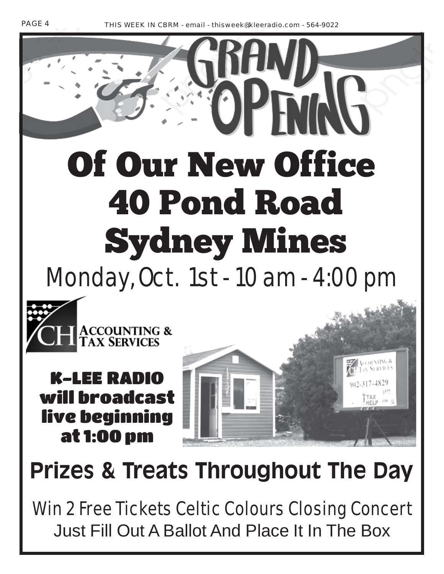# Of Our New Office 40 Pond Road Sydney Mines Monday, Oct. 1st - 10 am - 4:00 pm



K-LEE RADIO will broadcast live beginning at 1:00 pm



# **Prizes & Treats Throughout The Day**

Win 2 Free Tickets Celtic Colours Closing Concert Just Fill Out A Ballot And Place It In The Box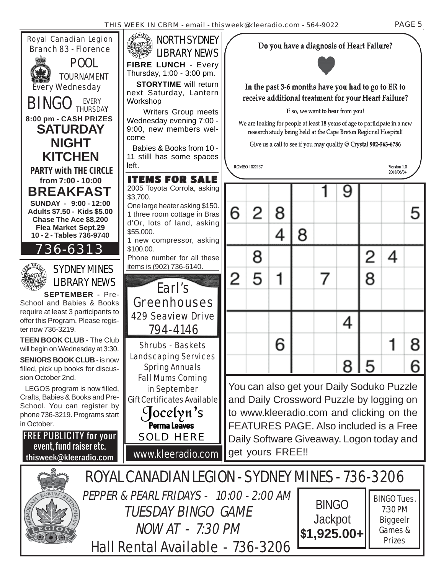

Hall Rental Available - 736-3206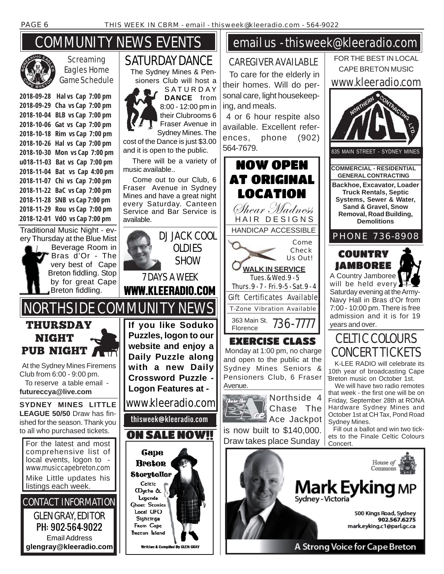# COMMUNITY NEWS EVENTS



**Screaming** Eagles Home Game Schedule

**2018-09-28 Hal vs Cap 7:00 pm 2018-09-29 Cha vs Cap 7:00 pm 2018-10-04 BLB vs Cap 7:00 pm 2018-10-06 Gat vs Cap 7:00 pm 2018-10-18 Rim vs Cap 7:00 pm 2018-10-26 Hal vs Cap 7:00 pm 2018-10-30 Mon vs Cap 7:00 pm u018-11-03 Bat vs Cap 7:00 pm 2018-11-04 Bat vs Cap 4:00 pm 2018-11-07 Chi vs Cap 7:00 pm 2018-11-22 BaC vs Cap 7:00 pm 2018-11-28 SNB vs Cap 7:00 pm 2018-11-29 Rou vs Cap 7:00 pm 2018-12-01 VdO vs Cap 7:00 pm**

Traditional Music Night - every Thursday at the Blue Mist Beverage Room in Bras d'Or - The

THURSDAY NIGHT

Club from 6:00 - 9:00 pm. To reserve a table email **futureccya@live.com**

very best of Cape Breton fiddling. Stop by for great Cape Breton fiddling.

GLEN GRAY, EDITOR PH: 902-564-9022 Email Address

local events, logon to -

to all who purchased tickets.

listings each week.



 There will be a variety of music available..

 Come out to our Club, 6 Fraser Avenue in Sydney Mines and have a great night every Saturday. Canteen Service and Bar Service is available.



## email us - thisweek@kleeradio.com

#### CAREGIVER AVAILABLE

 To care for the elderly in their homes. Will do personal care, light housekeeping, and meals.

 4 or 6 hour respite also available. Excellent references, phone (902) 564-7679.



EXERCISE CLASS Monday at 1:00 pm, no charge and open to the public at the Sydney Mines Seniors & Pensioners Club, 6 Fraser Avenue.





is now built to \$140,000. Draw takes place Sunday



 K-LEE RADIO will celebrate its 10th year of broadcasting Cape Breton music on October 1st.

 We will have two radio remotes that week - the first one will be on Friday, September 28th at RONA Hardware Sydney Mines and October 1st at CH Tax, Pond Road Sydney Mines.

 Fill out a ballot and win two tickets to the Finale Celtic Colours Concert.

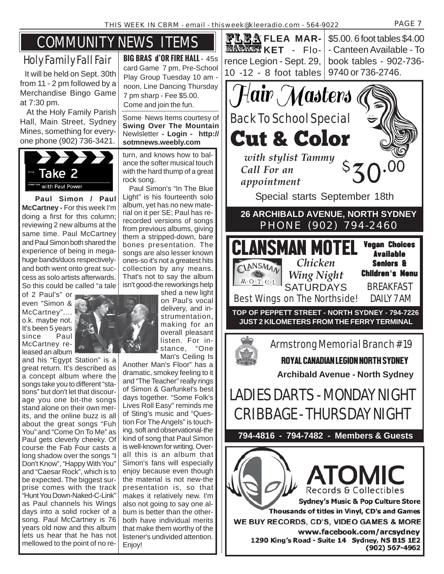# COMMUNITY NEWS ITEMS

## Holy Family Fall Fair

 It will be held on Sept. 30th from 11 - 2 pm followed by a Merchandise Bingo Game at 7:30 pm.

 At the Holy Family Parish Hall, Main Street, Sydney Mines, something for everyone phone (902) 736-3421.



 **Paul Simon / Paul McCartney -** For this week I'm doing a first for this column; reviewing 2 new albums at the same time. Paul McCartney and Paul Simon both shared the experience of being in megahuge bands/duos respectivelyand both went onto great success as solo artists afterwards. So this could be called "a tale

of 2 Paul's" or even "Simon & McCartney".... o.k. maybe not. It's been 5 years since McCartney released an album

and his "Egypt Station" is a great return. It's described as a concept album where the songs take you to different "stations" but don't let that discourage you one bit-the songs stand alone on their own merits, and the online buzz is all about the great songs "Fuh You" and "Come On To Me" as Paul gets cleverly cheeky. Of course the Fab Four casts a long shadow over the songs "I Don't Know", "Happy With You" and "Caesar Rock", which is to be expected. The biggest surprise comes with the track "Hunt You Down-Naked-C-Link" as Paul channels his Wings days into a solid rocker of a song. Paul McCartney is 76 years old now and this album lets us hear that he has not mellowed to the point of no re-

**BIG BRAS d'OR FIRE HALL -** 45s card Game 7 pm, Pre-School Play Group Tuesday 10 am noon, Line Dancing Thursday 7 pm sharp - Fee \$5.00. Come and join the fun.

Some News Items courtesy of **Swing Over The Mountain** Newlsletter **- Login - http:// sotmnews.weebly.com**

turn, and knows how to balance the softer musical touch with the hard thump of a great rock song.

 Paul Simon's "In The Blue Light" is his fourteenth solo album, yet has no new material on it per SE; Paul has rerecorded versions of songs from previous albums, giving them a stripped-down, bare bones presentation. The songs are also lesser known ones-so it's not a greatest hits collection by any means. That's not to say the album isn't good-the reworkings help

shed a new light on Paul's vocal delivery, and instrumentation, making for an overall pleasant listen. For instance, "One Man's Ceiling Is

Another Man's Floor" has a dramatic, smokey feeling to it and "The Teacher" really rings of Simon & Garfunkel's best days together. "Some Folk's Lives Roll Easy" reminds me of Sting's music and "Question For The Angels" is touching, soft and observational-the kind of song that Paul Simon is well-known for writing. Overall this is an album that Simon's fans will especially enjoy because even though the material is not new-the presentation is, so that makes it relatively new. I'm also not going to say one album is better than the otherboth have individual merits that make them worthy of the listener's undivided attention. Enjoy!